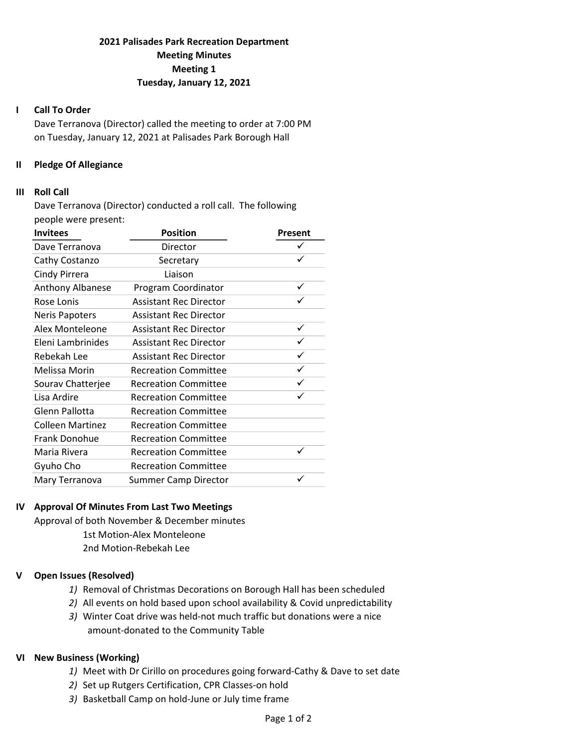# 2021 Palisades Park Recreation Department Meeting Minutes Meeting 1 Tuesday, January 12, 2021

#### I Call To Order

Dave Terranova (Director) called the meeting to order at 7:00 PM on Tuesday, January 12, 2021 at Palisades Park Borough Hall

### II Pledge Of Allegiance

### III Roll Call

Dave Terranova (Director) conducted a roll call. The following people were present:

| <b>Invitees</b>         | <b>Position</b>               | Present |
|-------------------------|-------------------------------|---------|
| Dave Terranova          | Director                      | ✓       |
| Cathy Costanzo          | Secretary                     | ✓       |
| Cindy Pirrera           | Liaison                       |         |
| Anthony Albanese        | Program Coordinator           | ✓       |
| Rose Lonis              | <b>Assistant Rec Director</b> |         |
| <b>Neris Papoters</b>   | <b>Assistant Rec Director</b> |         |
| Alex Monteleone         | <b>Assistant Rec Director</b> | ✓       |
| Eleni Lambrinides       | <b>Assistant Rec Director</b> | ✓       |
| Rebekah Lee             | <b>Assistant Rec Director</b> | ✓       |
| Melissa Morin           | <b>Recreation Committee</b>   | ✓       |
| Sourav Chatterjee       | <b>Recreation Committee</b>   |         |
| Lisa Ardire             | <b>Recreation Committee</b>   |         |
| Glenn Pallotta          | <b>Recreation Committee</b>   |         |
| <b>Colleen Martinez</b> | <b>Recreation Committee</b>   |         |
| Frank Donohue           | <b>Recreation Committee</b>   |         |
| Maria Rivera            | <b>Recreation Committee</b>   |         |
| Gyuho Cho               | <b>Recreation Committee</b>   |         |
| Mary Terranova          | <b>Summer Camp Director</b>   |         |

# IV Approval Of Minutes From Last Two Meetings

Approval of both November & December minutes 1st Motion-Alex Monteleone 2nd Motion-Rebekah Lee

# V Open Issues (Resolved)

- 1) Removal of Christmas Decorations on Borough Hall has been scheduled
- 2) All events on hold based upon school availability & Covid unpredictability
- 3) Winter Coat drive was held-not much traffic but donations were a nice amount-donated to the Community Table

# VI New Business (Working)

- 1) Meet with Dr Cirillo on procedures going forward-Cathy & Dave to set date
- 2) Set up Rutgers Certification, CPR Classes-on hold
- 3) Basketball Camp on hold-June or July time frame